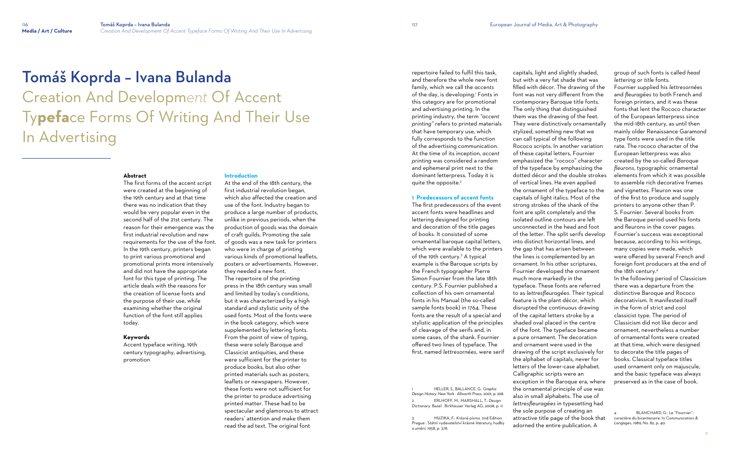# Tomáš Koprda – Ivana Bulanda Creation And Developm*ent* Of Accent Ty**pefa**ce Forms Of Writing And Their Use In Advertising

### **Abstract**

The first forms of the accent script were created at the beginning of the 19th century and at that time there was no indication that they would be very popular even in the second half of the 21st century. The reason for their emergence was the first industrial revolution and new requirements for the use of the font. In the 19th century, printers began to print various promotional and promotional prints more intensively and did not have the appropriate font for this type of printing. The article deals with the reasons for the creation of license fonts and the purpose of their use, while examining whether the original function of the font still applies today.

### **Keywords**

Accent typeface writing, 19th century typography, advertising, promotion

### **Introduction**

repertoire failed to fulfil this task, and therefore the whole new font family, which we call the *accents* of the day, is developing.' Fonts in this category are for promotional and advertising printing. In the printing industry, the term *"accent printing"* refers to printed materials that have temporary use, which fully corresponds to the function of the advertising communication. At the time of its inception, *accent printing* was considered a random and ephemeral print next to the dominant letterpress. Today it is quite the opposite.<sup>2</sup>

At the end of the 18th century, the first industrial revolution began, which also affected the creation and use of the font. Industry began to produce a large number of products, unlike in previous periods, when the production of goods was the domain of craft guilds. Promoting the sale of goods was a new task for printers who were in charge of printing various kinds of promotional leaflets, posters or advertisements. However, they needed a new font. The repertoire of the printing press in the 18th century was small and limited by today's conditions, but it was characterized by a high standard and stylistic unity of the used fonts. Most of the fonts were in the book category, which were supplemented by lettering fonts. From the point of view of typing, these were solely Baroque and Classicist antiquities, and these were sufficient for the printer to produce books, but also other printed materials such as posters, leaflets or newspapers. However, these fonts were not sufficient for the printer to produce advertising printed matter. These had to be spectacular and glamorous to attract readers' attention and make them read the ad text. The original font

### **1 Predecessors of accent fonts**

The first predecessors of the event accent fonts were headlines and lettering designed for printing and decoration of the title pages of books. It consisted of some ornamental baroque capital letters, which were available to the printers of the 19th century.<sup>3</sup> A typical example is the Baroque scripts by the French typographer Pierre Simon Fournier from the late 18th century. P.S. Fournier published a collection of his own ornamental fonts in his Manual (the so-called sample fonts book) in 1764. These fonts are the result of a special and stylistic application of the principles of cleavage of the serifs and, in some cases, of the shank. Fournier offered two lines of typeface. The first, named *lettresornées*, were serif

1 HELLER, S., BALLANCE, G.: *Graphic Design History.* New York : Allworth Press, 2001, p. 298. 2 ERLHOFF, M., MARSHALL, T.: *Design Dictionary*. Basel : Birkhäuser Verlag AG, 2008, p. 11

3 MUZIKA, F.: *Krásné písmo.* 2nd Edition. Prague : Státní vydavatelství krásné literatury, hudby a umění, 1958, p. 378.

capitals, light and slightly shaded, but with a very fat shade that was filled with décor. The drawing of the font was not very different from the contemporary Baroque title fonts. The only thing that distinguished them was the drawing of the feet. They were distinctively ornamentally stylized, something new that we can call typical of the following Rococo scripts. In another variation of these capital letters, Fournier emphasized the "rococo" character of the typeface by emphasizing the dotted décor and the double strokes of vertical lines. He even applied the ornament of the typeface to the capitals of light italics. Most of the strong strokes of the shank of the font are split completely and the isolated outline contours are left unconnected in the head and foot of the letter. The split serifs develop into distinct horizontal lines, and the gap that has arisen between the lines is complemented by an ornament. In his other scriptures, Fournier developed the ornament typeface. These fonts are referred to as *lettresfleuragées*. Their typical feature is the plant décor, which disrupted the continuous drawing of the capital letters stroke by a shaded oval placed in the centre of the font. The typeface became a pure ornament. The decoration and ornament were used in the drawing of the script exclusively for the alphabet of capitals, never for letters of the lower-case alphabet. exception in the Baroque era, where the ornamental principle of use was

*lettresfleuragées* in typesetting had the sole purpose of creating an attractive title page of the book that adorned the entire publication. A

group of such fonts is called *head lettering* or *title* fonts.

Fournier supplied his *lettresornées* and *fleuragées* to both French and foreign printers, and it was these fonts that lent the Rococo character of the European letterpress since the mid-18th century, as until then mainly older Renaissance Garamond type fonts were used in the title rate. The rococo character of the European letterpress was also created by the so-called *Baroque fleurons*, typographic ornamental elements from which it was possible to assemble rich decorative frames and vignettes. Fleuron was one of the first to produce and supply printers to anyone other than P. S. Fournier. Several books from the Baroque period used his fonts and fleurons in the cover pages. Fournier's success was exceptional because, according to his writings, many copies were made, which were offered by several French and foreign font producers at the end of the 18th century. 4

In the following period of Classicism there was a departure from the distinctive Baroque and Rococo decorativism. It manifested itself in the form of strict and cool classicist type. The period of Classicism did not like decor and ornament, nevertheless a number of ornamental fonts were created at that time, which were designed to decorate the title pages of books. Classical typeface titles used ornament only on majuscule, and the basic typeface was always preserved as in the case of book.

<sup>4</sup> BLANCHARD, G.: Le "Fournier": caractère du bicentenaire. In *Communication & Langages*, 1989, No. 82, p. 40.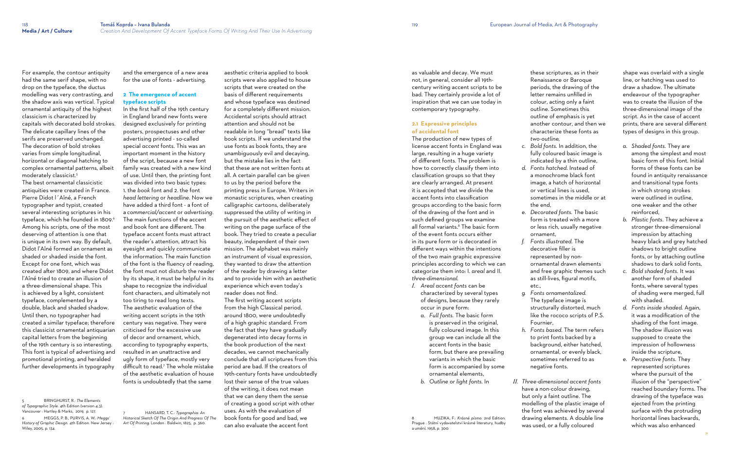For example, the contour antiquity had the same serif shape, with no drop on the typeface, the ductus modelling was very contrasting, and the shadow axis was vertical. Typical ornamental antiquity of the highest classicism is characterized by capitals with decorated bold strokes. The delicate capillary lines of the serifs are preserved unchanged. The decoration of bold strokes varies from simple longitudinal, horizontal or diagonal hatching to complex ornamental patterns, albeit moderately classicist.<sup>5</sup>

The best ornamental classicistic antiquities were created in France. Pierre Didot l´Aîné, a French typographer and typist, created several interesting scriptures in his typeface, which he founded in 1809.<sup>6</sup> Among his scripts, one of the most deserving of attention is one that is unique in its own way. By default, Didot l'Aîné formed an ornament as shaded or shaded inside the font. Except for one font, which was created after 1809, and where Didot l'Aîné tried to create an illusion of a three-dimensional shape. This is achieved by a light, consistent typeface, complemented by a double, black and shaded shadow. Until then, no typographer had created a similar typeface; therefore this classicist ornamental antiquarian capital letters from the beginning of the 19th century is so interesting. This font is typical of advertising and promotional printing, and heralded further developments in typography

5 BRINGHURST, R.: *The Elements of Typographic Style.* 4th Edition (version 4.3). Vancouver : Hartley & Marks, 2019, p. 127.

6 MEGGS, P. B., PURVIS, A. W.: *Meggs' History of Graphic Design.* 4th Edition*.* New Jersey : Wiley, 2005, p. 134.

and the emergence of a new area for the use of fonts - advertising.

### **2 The emergence of accent typeface scripts**

In the first half of the 19th century in England brand new fonts were designed exclusively for printing posters, prospectuses and other advertising printed - so-called special *accent* fonts. This was an important moment in the history of the script, because a new font family was created with a new kind of use. Until then, the printing font was divided into two basic types: 1. the *book* font and 2. the font *head lettering* or *headline*. Now we have added a third font - a font of a *commercial/accent* or *advertising*. The main functions of the accent and book font are different. The typeface accent fonts must attract the reader's attention, attract his eyesight and quickly communicate the information. The main function of the font is the fluency of reading, the font must not disturb the reader by its shape, it must be helpful in its shape to recognize the individual font characters, and ultimately not too tiring to read long texts. The aesthetic evaluation of the writing accent scripts in the 19th century was negative. They were criticised for the excessive use of decor and ornament, which, according to typography experts, resulted in an unattractive and ugly form of typeface, mostly very difficult to read.<sup>7</sup> The whole mistake of the aesthetic evaluation of house fonts is undoubtedly that the same

7 HANSARD, T. C.: *Typographia: An Historical Sketch Of The Origin And Progress Of The Art Of Printing.* London : Baldwin, 1825, p. 360.

- 
- the end,
- form is treated with a more or less rich, usually negative ornament, *f. Fonts illustrated.* The
- decorative filler is represented by nonornamental drawn elements and free graphic themes such as still-lives, figural motifs, etc.,
- Fournier,
- negative fonts.
- 

aesthetic criteria applied to book scripts were also applied to house scripts that were created on the basis of different requirements and whose typeface was destined for a completely different mission. Accidental scripts should attract attention and should not be readable in long "bread" texts like book scripts. If we understand the use fonts as book fonts, they are unambiguously evil and decaying, but the mistake lies in the fact that these are not written fonts at all. A certain parallel can be given to us by the period before the printing press in Europe. Writers in monastic scriptures, when creating calligraphic cartoons, deliberately suppressed the utility of writing in the pursuit of the aesthetic effect of writing on the page surface of the book. They tried to create a peculiar beauty, independent of their own mission. The alphabet was mainly an instrument of visual expression, they wanted to draw the attention of the reader by drawing a letter and to provide him with an aesthetic experience which even today's reader does not find. The first writing accent scripts from the high Classical period, around 1800, were undoubtedly of a high graphic standard. From the fact that they have gradually degenerated into decay forms in the book production of the next decades, we cannot mechanically conclude that all scriptures from this period are bad. If the creators of 19th-century fonts have undoubtedly lost their sense of the true values of the writing, it does not mean that we can deny them the sense of creating a good script with other uses. As with the evaluation of book fonts for good and bad, we can also evaluate the accent font

as valuable and decay. We must not, in general, consider all 19thcentury writing accent scripts to be bad. They certainly provide a lot of inspiration that we can use today in contemporary typography.

### **2.1 Expressive principles of accidental font**

The production of new types of license accent fonts in England was large, resulting in a huge variety of different fonts. The problem is how to correctly classify them into classification groups so that they are clearly arranged. At present it is accepted that we divide the accent fonts into classification groups according to the basic form of the drawing of the font and in such defined groups we examine all formal variants.<sup>8</sup> The basic form of the event fonts occurs either in its pure form or is decorated in different ways within the intentions of the two main graphic expressive principles according to which we can categorize them into: I. *areal* and II. *three-dimensional.*

- *I. Areal accent fonts* can be characterized by several types of designs, because they rarely occur in pure form:
	- *a. Full fonts.* The basic form is preserved in the original, fully coloured image. In this group we can include all the accent fonts in the basic form, but there are prevailing variants in which the basic form is accompanied by some ornamental elements,
	- *b. Outline or light fonts.* In

8 MUZIKA, F.: *Krásné písmo.* 2nd Edition*.* Prague : Státní vydavatelství krásné literatury, hudby

a umění, 1958, p. 300.

these scriptures, as in their Renaissance or Baroque periods, the drawing of the letter remains unfilled in colour, acting only a faint outline. Sometimes this outline of emphasis is yet another contour, and then we characterize these fonts as *two-outline,*

*c. Bold fonts.* In addition, the fully coloured basic image is indicated by a thin outline, *d. Fonts hatched*. Instead of a monochrome black font image, a hatch of horizontal or vertical lines is used, sometimes in the middle or at

*e. Decorated fonts.* The basic

*g. Fonts ornamentalized.* The typeface image is structurally distorted, much like the rococo scripts of P.S.

*h. Fonts based.* The term refers to print fonts backed by a background, either hatched, ornamental, or evenly black, sometimes referred to as

*II. Three-dimensional accent fonts*  have a non-colour drawing, but only a faint outline. The modelling of the plastic image of the font was achieved by several drawing elements. A double line was used, or a fully coloured

shape was overlaid with a single line, or hatching was used to draw a shadow. The ultimate endeavour of the typographer was to create the illusion of the three-dimensional image of the script. As in the case of accent prints, there are several different types of designs in this group.

- *a. Shaded fonts.* They are among the simplest and most basic form of this font. Initial forms of these fonts can be found in antiquity renaissance and transitional type fonts in which strong strokes were outlined in outline, one weaker and the other reinforced,
- *b. Plastic fonts.* They achieve a stronger three-dimensional impression by attaching heavy black and grey hatched shadows to bright outline fonts, or by attaching outline shadows to dark solid fonts,
- *c. Bold shaded fonts.* It was another form of shaded fonts, where several types of shading were merged, full with shaded.
- *d. Fonts inside shaded.* Again, it was a modification of the shading of the font image. The shadow illusion was supposed to create the impression of hollowness inside the scripture,
- *e. Perspective fonts.* They represented scriptures where the pursuit of the illusion of the "perspective" reached boundary forms. The drawing of the typeface was ejected from the printing surface with the protruding horizontal lines backwards, which was also enhanced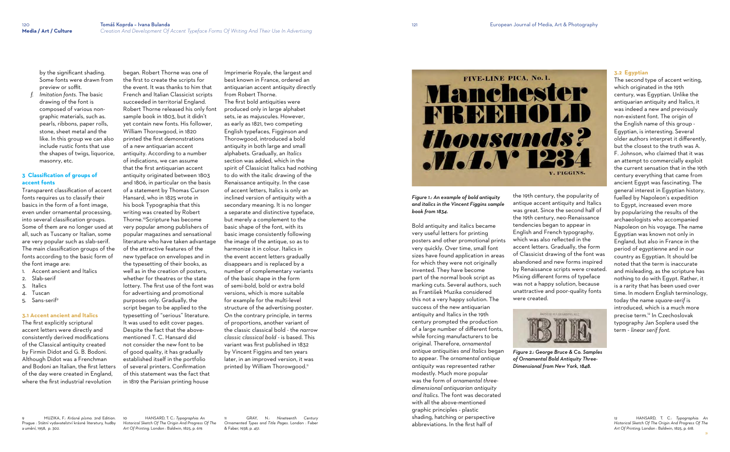by the significant shading. Some fonts were drawn from preview or soffit.

*f. Imitation fonts.* The basic drawing of the font is composed of various nongraphic materials, such as. pearls, ribbons, paper rolls, stone, sheet metal and the like. In this group we can also include rustic fonts that use the shapes of twigs, liquorice, masonry, etc.

- 1. Accent ancient and Italics
- 2. Slab-serif
- 3. Italics
- 4. Tuscan
- 5. Sans-serif<sup>9</sup>

### **3 Classification of groups of accent fonts**

Transparent classification of accent fonts requires us to classify their basics in the form of a font image, even under ornamental processing, into several classification groups. Some of them are no longer used at all, such as Tuscany or Italian, some are very popular such as slab-serif. The main classification groups of the fonts according to the basic form of the font image are:

### **3.1 Accent ancient and Italics**

The first explicitly scriptural accent letters were directly and consistently derived modifications of the Classical antiquity created by Firmin Didot and G. B. Bodoni. Although Didot was a Frenchman and Bodoni an Italian, the first letters of the day were created in England, where the first industrial revolution

9 MUZIKA, F.: *Krásné písmo.* 2nd Edition*.* Prague : Státní vydavatelství krásné literatury, hudby a umění, 1958, p. 302.

Imprimerie Royale, the largest and best known in France, ordered an antiquarian accent antiquity directly from Robert Thorne. The first bold antiquities were produced only in large alphabet sets, ie as majuscules. However, as early as 1821, two competing English typefaces, Figginson and Thorowgood, introduced a bold antiquity in both large and small alphabets. Gradually, an *Italics*  section was added, which in the spirit of Classicist Italics had nothing to do with the italic drawing of the Renaissance antiquity. In the case of accent letters, Italics is only an inclined version of antiquity with a secondary meaning. It is no longer a separate and distinctive typeface, but merely a complement to the basic shape of the font, with its basic image consistently following the image of the antique, so as to harmonize it in colour. Italics in the event accent letters gradually disappears and is replaced by a number of complementary variants of the basic shape in the form of semi-bold, bold or extra bold versions, which is more suitable for example for the multi-level structure of the advertising poster. On the contrary principle, in terms of proportions, another variant of the classic classical bold - the *narrow classic classical bold* - is based. This variant was first published in 1832 by Vincent Figgins and ten years later, in an improved version, it was printed by William Thorowgood.<sup>11</sup>



began. Robert Thorne was one of the first to create the scripts for the event. It was thanks to him that French and Italian Classicist scripts succeeded in territorial England. Robert Thorne released his only font sample book in 1803, but it didn't yet contain new fonts. His follower, William Thorowgood, in 1820 printed the first demonstrations of a new antiquarian accent antiquity. According to a number of indications, we can assume that the first antiquarian accent antiquity originated between 1803 and 1806, in particular on the basis of a statement by Thomas Curson Hansard, who in 1825 wrote in his book Typographia that this writing was created by Robert Thorne.<sup>10</sup>Scripture has become very popular among publishers of popular magazines and sensational literature who have taken advantage of the attractive features of the new typeface on envelopes and in the typesetting of their books, as well as in the creation of posters, whether for theatres or the state lottery. The first use of the font was for advertising and promotional purposes only. Gradually, the script began to be applied to the typesetting of "serious" literature. It was used to edit cover pages. Despite the fact that the abovementioned T. C. Hansard did not consider the new font to be of good quality, it has gradually established itself in the portfolio of several printers. Confirmation of this statement was the fact that in 1819 the Parisian printing house

10 HANSARD, T. C.: *Typographia: An Historical Sketch Of The Origin And Progress Of The Art Of Printing.* London : Baldwin, 1825, p. 619.

11 GRAY, N.: *Nineteenth Century Ornamented Types and Title Pages*. London : Faber

& Faber, 1938, p. 451.

*Figure 1.: An example of bold antiquity and italics in the Vincent Figgins sample book from 1834.*

Bold antiquity and italics became very useful letters for printing posters and other promotional prints very quickly. Over time, small font sizes have found application in areas for which they were not originally invented. They have become part of the normal book script as marking cuts. Several authors, such as František Muzika considered this not a very happy solution. The success of the new antiquarian antiquity and Italics in the 19th century prompted the production of a large number of different fonts, while forcing manufacturers to be original. Therefore, *ornamental antique antiquities and Italics* began to appear. The *ornamental antique antiquity* was represented rather modestly. Much more popular was the form of *ornamental threedimensional antiquarian antiquity and Italics*. The font was decorated with all the above-mentioned graphic principles - plastic shading, hatching or perspective abbreviations. In the first half of

the 19th century, the popularity of antique accent antiquity and Italics was great. Since the second half of the 19th century, neo-Renaissance tendencies began to appear in English and French typography, which was also reflected in the accent letters. Gradually, the form of Classicist drawing of the font was abandoned and new forms inspired by Renaissance scripts were created. Mixing different forms of typeface was not a happy solution, because unattractive and poor-quality fonts were created.



*Figure 2.: George Bruce & Co. Samples of Ornamental Bold Antiquity Three-Dimensional from New York, 1848.*

### **3.2 Egyptian**

The second type of accent writing, which originated in the 19th century, was Egyptian. Unlike the antiquarian antiquity and Italics, it was indeed a new and previously non-existent font. The origin of the English name of this group - Egyptian, is interesting. Several older authors interpret it differently, but the closest to the truth was A. F. Johnson, who claimed that it was an attempt to commercially exploit the current sensation that in the 19th century everything that came from ancient Egypt was fascinating. The general interest in Egyptian history, fuelled by Napoleon's expedition to Egypt, increased even more by popularizing the results of the archaeologists who accompanied Napoleon on his voyage. The name Egyptian was known not only in England, but also in France in the period of *egyptienne* and in our country as Egyptian. It should be noted that the term is inaccurate and misleading, as the scripture has nothing to do with Egypt. Rather, it is a rarity that has been used over time. In modern English terminology, today the name *square-serif* is introduced, which is a much more precise term. 12 In Czechoslovak typography Jan Soplera used the term - *linear serif font*.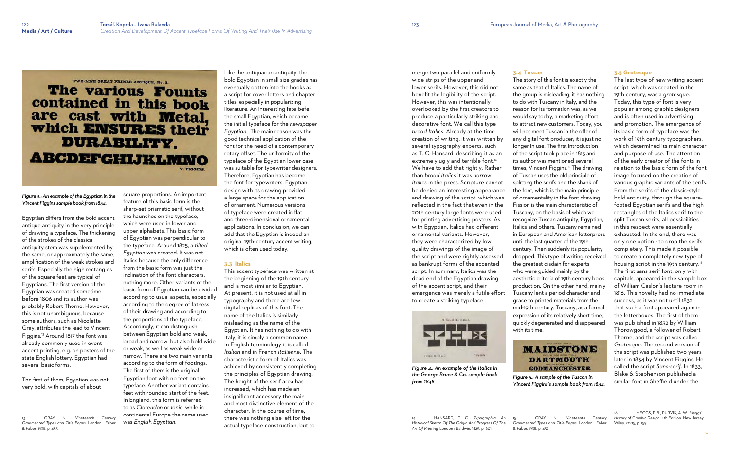## **The various Founts** contained in this book are cast with Metal, which ENSURES their **DURABILITY ABCDEFGHIJKLMNO**

### *Figure 3.: An example of the Egyptian in the Vincent Figgins sample book from 1834.*

Egyptian differs from the bold accent antique antiquity in the very principle of drawing a typeface. The thickening of the strokes of the classical antiquity stem was supplemented by the same, or approximately the same, amplification of the weak strokes and serifs. Especially the high rectangles of the square feet are typical of Egyptians. The first version of the Egyptian was created sometime before 1806 and its author was probably Robert Thorne. However, this is not unambiguous, because some authors, such as Nicolette Gray, attributes the lead to Vincent Figgins.<sup>13</sup> Around 1817 the font was already commonly used in event accent printing, e.g. on posters of the state English lottery. Egyptian had several basic forms.

The first of them, Egyptian was not very bold, with capitals of about

13 GRAY, N.: *Nineteenth Century Ornamented Types and Title Pages*. London : Faber & Faber, 1938, p. 455.

square proportions. An important

feature of this basic form is the sharp-set prismatic serif, without the haunches on the typeface, which were used in lower and upper alphabets. This basic form of Egyptian was perpendicular to the typeface. Around 1825, a *tilted Egyptian* was created. It was not Italics because the only difference from the basic form was just the inclination of the font characters, nothing more. Other variants of the basic form of Egyptian can be divided according to usual aspects, especially according to the degree of fatness of their drawing and according to the proportions of the typeface. Accordingly, it can distinguish between Egyptian bold and weak, broad and narrow, but also bold wide or weak, as well as weak wide or narrow. There are two main variants according to the form of footings. The first of them is the original Egyptian foot with no feet on the typeface. Another variant contains feet with rounded start of the feet. In England, this form is referred to as *Clarendon* or *Ionic*, while in continental Europe the name used was *English Egyptian*.

Like the antiquarian antiquity, the bold Egyptian in small size grades has eventually gotten into the books as a script for cover letters and chapter titles, especially in popularizing literature. An interesting fate befell the small Egyptian, which became the initial typeface for the *newspaper Egyptian*. The main reason was the good technical application of the font for the need of a contemporary rotary offset. The uniformity of the typeface of the Egyptian lower case was suitable for typewriter designers. Therefore, Egyptian has become the font for typewriters. Egyptian design with its drawing provided a large space for the application of ornament. Numerous versions of typeface were created in flat and three-dimensional ornamental applications. In conclusion, we can add that the Egyptian is indeed an original 19th-century accent writing, which is often used today.

### **3.3 Italics**

This accent typeface was written at the beginning of the 19th century and is most similar to Egyptian. At present, it is not used at all in typography and there are few digital replicas of this font. The name of the Italics is similarly misleading as the name of the Egyptian. It has nothing to do with Italy, it is simply a common name. In English terminology it is called *Italian* and in French *italienne*. The characteristic form of Italics was achieved by consistently completing the principles of Egyptian drawing. The height of the serif area has increased, which has made an insignificant accessory the main and most distinctive element of the character. In the course of time, there was nothing else left for the actual typeface construction, but to

merge two parallel and uniformly wide strips of the upper and lower serifs. However, this did not benefit the legibility of the script. However, this was intentionally overlooked by the first creators to produce a particularly striking and decorative font. We call this type *broad Italics*. Already at the time creation of writing, it was written by several typography experts, such as T. C. Hansard, describing it as an extremely ugly and terrible font.<sup>14</sup> We have to add that rightly. Rather than *broad Italics* it was *narrow Italics* in the press. Scripture cannot be denied an interesting appearance and drawing of the script, which was reflected in the fact that even in the 20th century large fonts were used for printing advertising posters. As with Egyptian, Italics had different ornamental variants. However, they were characterized by low quality drawings of the image of the script and were rightly assessed as bankrupt forms of the accented script. In summary, Italics was the dead end of the Egyptian drawing of the accent script, and their emergence was merely a futile effort to create a striking typeface.



*Figure 4.: An example of the Italics in the George Bruce & Co. sample book from 1848.*

14 HANSARD, T. C.: *Typographia: An Historical Sketch Of The Origin And Progress Of The Art Of Printing.* London : Baldwin, 1825, p. 601.

**3.4 Tuscan**

The story of this font is exactly the same as that of Italics. The name of the group is misleading, it has nothing to do with Tuscany in Italy, and the reason for its formation was, as we would say today, a marketing effort to attract new customers. Today, you will not meet Tuscan in the offer of any digital font producer; it is just no longer in use. The first introduction of the script took place in 1815 and its author was mentioned several times, Vincent Figgins.<sup>15</sup> The drawing of Tuscan uses the old principle of splitting the serifs and the shank of the font, which is the main principle of ornamentality in the font drawing. Fission is the main characteristic of Tuscany, on the basis of which we recognize Tuscan antiquity, Egyptian, Italics and others. Tuscany remained in European and American letterpress until the last quarter of the 19th century. Then suddenly its popularity dropped. This type of writing received the greatest disdain for experts who were guided mainly by the aesthetic criteria of 19th century book production. On the other hand, mainly Tuscany lent a period character and grace to printed materials from the mid-19th century. Tuscany, as a formal expression of its relatively short time, quickly degenerated and disappeared with its time.



*Figure 5.: A sample of the Tuscan in Vincent Figgins's sample book from 1834.*

15 GRAY, N.: *Nineteenth Century History of Graphic Design.* 4th Edition*.* New Jersey : *Ornamented Types and Title Pages*. London : Faber & Faber, 1938, p. 452.

### **3.5 Grotesque**

The last type of new writing accent script, which was created in the 19th century, was a *grotesque*. Today, this type of font is very popular among graphic designers and is often used in advertising and promotion. The emergence of its basic form of typeface was the work of 19th century typographers, which determined its main character and purpose of use. The attention of the early creator of the fonts in relation to the basic form of the font image focused on the creation of various graphic variants of the serifs. From the serifs of the classic-style bold antiquity, through the squarefooted Egyptian serifs and the high rectangles of the Italics serif to the split Tuscan serifs, all possibilities in this respect were essentially exhausted. In the end, there was only one option - to drop the serifs completely. This made it possible to create a completely new type of housing script in the 19th century. 16 The first sans serif font, only with capitals, appeared in the sample box of William Caslon's lecture room in 1816. This novelty had no immediate success, as it was not until 1832 that such a font appeared again in the letterboxes. The first of them was published in 1832 by William Thorowgood, a follower of Robert Thorne, and the script was called *Grotesque*. The second version of the script was published two years later in 1834 by Vincent Figgins. He called the script *Sans-serif*. In 1833, Blake & Stephenson published a similar font in Sheffield under the

16 MEGGS, P. B., PURVIS, A. W.: *Meggs'*  Wiley, 2005, p. 159.